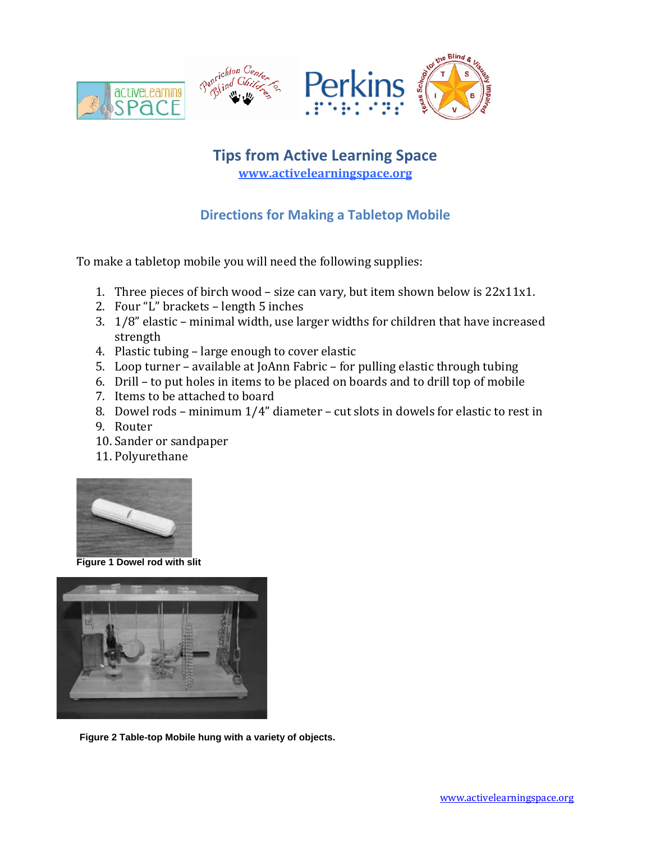

## **Tips from Active Learning Space [www.activelearningspace.org](http://www.activelearningspace.org/)**

## **Directions for Making a Tabletop Mobile**

To make a tabletop mobile you will need the following supplies:

- 1. Three pieces of birch wood size can vary, but item shown below is 22x11x1.
- 2. Four "L" brackets length 5 inches
- 3. 1/8" elastic minimal width, use larger widths for children that have increased strength
- 4. Plastic tubing large enough to cover elastic
- 5. Loop turner available at JoAnn Fabric for pulling elastic through tubing
- 6. Drill to put holes in items to be placed on boards and to drill top of mobile
- 7. Items to be attached to board
- 8. Dowel rods minimum 1/4" diameter cut slots in dowels for elastic to rest in
- 9. Router
- 10. Sander or sandpaper
- 11. Polyurethane



**Figure 1 Dowel rod with slit**



**Figure 2 Table-top Mobile hung with a variety of objects.**